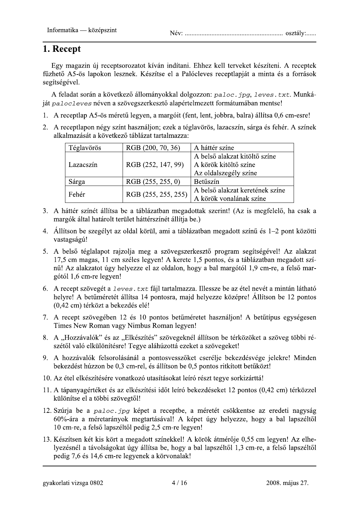Informatika — középszint<br> **1. Recept**<br>
Egy magazin új receptsorozatot kíván indítani. Ehhez kell terveket készíteni. A receptek<br>
füzhető A5-ös lapokon lesznek. Készítse el a Palócleves receptlapját a minta és a források<br> magazin új receptsorozatot kíván indítani. Ehhez kell terveket készíteni. A receptek fűzhető A5-ös lapokon lesznek. Készítse el a Palócleves receptlapiát a minta és a források segítségével.

A feladat során a következő állományokkal dolgozzon: paloc, jpg. leves, txt. Munká- $\mu$ iát pa $1$ oc $1$ eves néven a szövegszerkesztő alapértelmezett formátumában mentse!

- 1. A receptlap A5-ös méretű legyen, a margóit (fent, lent, jobbra, balra) állítsa 0,6 cm-esre!
- 2. A receptlapon négy színt használion: ezek a téglavörös, lazacszín, sárga és fehér. A színek alkalmazását a következő táblázat tartalmazza:

| Téglavörös | RGB (200, 70, 36)   | A háttér színe                  |
|------------|---------------------|---------------------------------|
| Lazacszín  | RGB (252, 147, 99)  | A belső alakzat kitöltő színe   |
|            |                     | A körök kitöltő színe           |
|            |                     | Az oldalszegély színe           |
| Sárga      | RGB (255, 255, 0)   | Betűszín                        |
| Fehér      | RGB (255, 255, 255) | A belső alakzat keretének színe |
|            |                     | A körök vonalának színe         |

- 3. A háttér színét állítsa be a táblázatban megadottak szerint! (Az is megfelelő, ha csak a margók által határolt terület háttérszínét állítja be.)
- 4. Állítson be szegélyt az oldal körül, ami a táblázatban megadott színű és 1–2 pont közötti vastagságú!
- 5. A belső téglalapot raizolia meg a szövegszerkesztő program segítségével! Az alakzat  $17.5$  cm magas.  $11$  cm széles legven! A kerete 1.5 pontos, és a táblázatban megadott szí- $\overline{n}$ u! Az alakzatot úgy helyezze el az oldalon, hogy a bal margótól 1.9 cm-re, a felső mar- $\frac{1}{6}$  em-re legven!
- 6. A recept szövegét a  $l$ eves.  $txt$  fáil tartalmazza. Illessze be az étel nevét a mintán látható helvre! A betűméretét állítsa 14 pontosra, maid helvezze középre! Állítson be 12 pontos (0,42 cm) térközt a bekezdés elé!
- 7. A recept szövegében 12-és 10 pontos betűméretet használion! A betűtípus egységesen Times New Roman vagy Nimbus Roman legven!
- 8. A "Hozzávalók" és az "Elkészítés" szövegeknél állítson be térközöket a szöveg többi részétől való elkülönítésre! Tegve aláhúzottá ezeket a szövegeket!
- 9. A hozzávalók felsorolásánál a pontosvesszőket cserélie bekezdésvége jelekre! Minden bekezdést húzzon be 0,3 cm-rel, és állítson be 0,5 pontos ritkított betűközt!
- 10. Az étel elkészítésére vonatkozó utasításokat leíró részt tegye sorkizárttá!
- 11. A tápanyagértéket és az elkészítési időt leíró bekezdéseket 12 pontos (0.42 cm) térközzel különítse el a többi szövegtől!
- $12.$  Szúria be a paloc, ipg képet a receptbe, a méretét csökkentse az eredeti nagyság  $60\%$ -ára a méretarányok megtartásával! A képet úgy helyezze, hogy a bal lapszéltől  $10$  cm-re, a felső lapszéltől pedig  $2.5$  cm-re legyen!
- 13. Készítsen két kis kört a megadott színekkel! A körök átmérőie 0.55 cm legyen! Az elhelyezésnél a távolságokat úgy állítsa be, hogy a bal lapszéltől 1,3 cm-re, a felső lapszéltől<br>pedig 7.6 és 14.6 cm-re legyenek a körvonalak! .<br>enek a körvonalak!